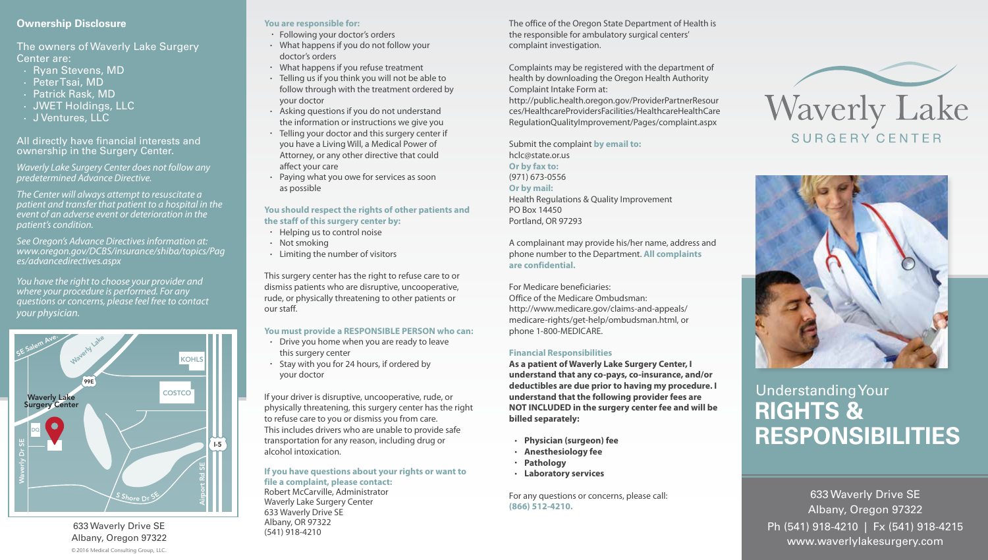## **Ownership Disclosure**

The owners of Waverly Lake Surgery Center are:

- Ryan Stevens, MD
- Peter Tsai, MD
- Patrick Rask, MD
- JWET Holdings, LLC
- J Ventures, LLC

All directly have financial interests and ownership in the Surgery Center.

*Waverly Lake Surgery Center does not follow any predetermined Advance Directive.*

*The Center will always attempt to resuscitate a patient and transfer that patient to a hospital in the event of an adverse event or deterioration in the patient's condition.*

*See Oregon's Advance Directives information at: www.oregon.gov/DCBS/insurance/shiba/topics/Pag es/advancedirectives.aspx* 

*You have the right to choose your provider and where your procedure is performed. For any questions or concerns, please feel free to contact your physician.* 



©2016 Medical Consulting Group, LLC. 633 Waverly Drive SE Albany, Oregon 97322

## **You are responsible for:**

- Following your doctor's orders
- What happens if you do not follow your doctor's orders
- What happens if you refuse treatment
- Telling us if you think you will not be able to follow through with the treatment ordered by your doctor
- Asking questions if you do not understand the information or instructions we give you
- Telling your doctor and this surgery center if you have a Living Will, a Medical Power of Attorney, or any other directive that could affect your care
- Paying what you owe for services as soon as possible

#### **You should respect the rights of other patients and the staff of this surgery center by:**

- Helping us to control noise
- Not smoking
- Limiting the number of visitors

This surgery center has the right to refuse care to or dismiss patients who are disruptive, uncooperative, rude, or physically threatening to other patients or our staff.

## **You must provide a RESPONSIBLE PERSON who can:**

- Drive you home when you are ready to leave this surgery center
- Stay with you for 24 hours, if ordered by your doctor

If your driver is disruptive, uncooperative, rude, or physically threatening, this surgery center has the right to refuse care to you or dismiss you from care. This includes drivers who are unable to provide safe transportation for any reason, including drug or alcohol intoxication.

#### **If you have questions about your rights or want to file a complaint, please contact:**

Robert McCarville, Administrator Waverly Lake Surgery Center 633 Waverly Drive SE Albany, OR 97322 (541) 918-4210

The office of the Oregon State Department of Health is the responsible for ambulatory surgical centers' complaint investigation.

Complaints may be registered with the department of health by downloading the Oregon Health Authority Complaint Intake Form at:

http://public.health.oregon.gov/ProviderPartnerResour ces/HealthcareProvidersFacilities/HealthcareHealthCare RegulationQualityImprovement/Pages/complaint.aspx

Submit the complaint **by email to:**  hclc@state.or.us **Or by fax to:** (971) 673-0556 **Or by mail:** Health Regulations & Quality Improvement PO Box 14450 Portland, OR 97293

A complainant may provide his/her name, address and phone number to the Department. **All complaints are confidential.**

For Medicare beneficiaries: Office of the Medicare Ombudsman: http://www.medicare.gov/claims-and-appeals/ medicare-rights/get-help/ombudsman.html, or phone 1-800-MEDICARE.

### **Financial Responsibilities**

**As a patient of Waverly Lake Surgery Center, I understand that any co-pays, co-insurance, and/or deductibles are due prior to having my procedure. I understand that the following provider fees are NOT INCLUDED in the surgery center fee and will be billed separately:**

- **Physician (surgeon) fee**
- **Anesthesiology fee**
- **Pathology**
- **Laboratory services**

For any questions or concerns, please call: **(866) 512-4210.**





# Understanding Your **RIGHTS & RESPONSIBILITIES**

633 Waverly Drive SE Albany, Oregon 97322 Ph (541) 918-4210 | Fx (541) 918-4215 www.waverlylakesurgery.com